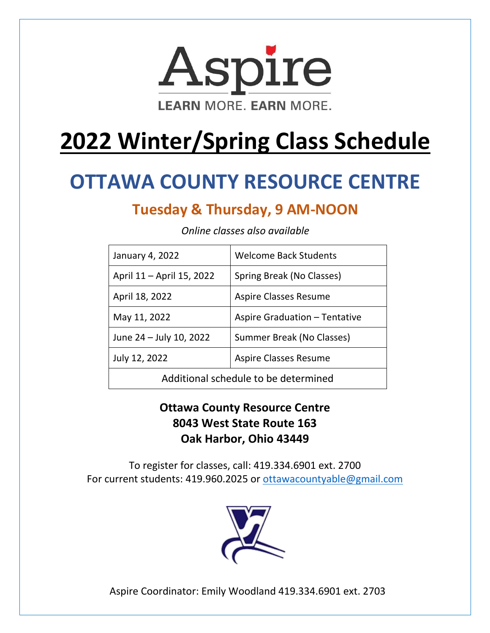

# **2022 Winter/Spring Class Schedule**

# **OTTAWA COUNTY RESOURCE CENTRE**

## **Tuesday & Thursday, 9 AM-NOON**

| January 4, 2022                      | <b>Welcome Back Students</b>     |
|--------------------------------------|----------------------------------|
| April 11 – April 15, 2022            | Spring Break (No Classes)        |
| April 18, 2022                       | <b>Aspire Classes Resume</b>     |
| May 11, 2022                         | Aspire Graduation - Tentative    |
| June 24 - July 10, 2022              | <b>Summer Break (No Classes)</b> |
| July 12, 2022                        | <b>Aspire Classes Resume</b>     |
| Additional schedule to be determined |                                  |

*Online classes also available*

#### **Ottawa County Resource Centre 8043 West State Route 163 Oak Harbor, Ohio 43449**

To register for classes, call: 419.334.6901 ext. 2700 For current students: 419.960.2025 or [ottawacountyable@gmail.com](mailto:ottawacountyable@gmail.com)



Aspire Coordinator: Emily Woodland 419.334.6901 ext. 2703